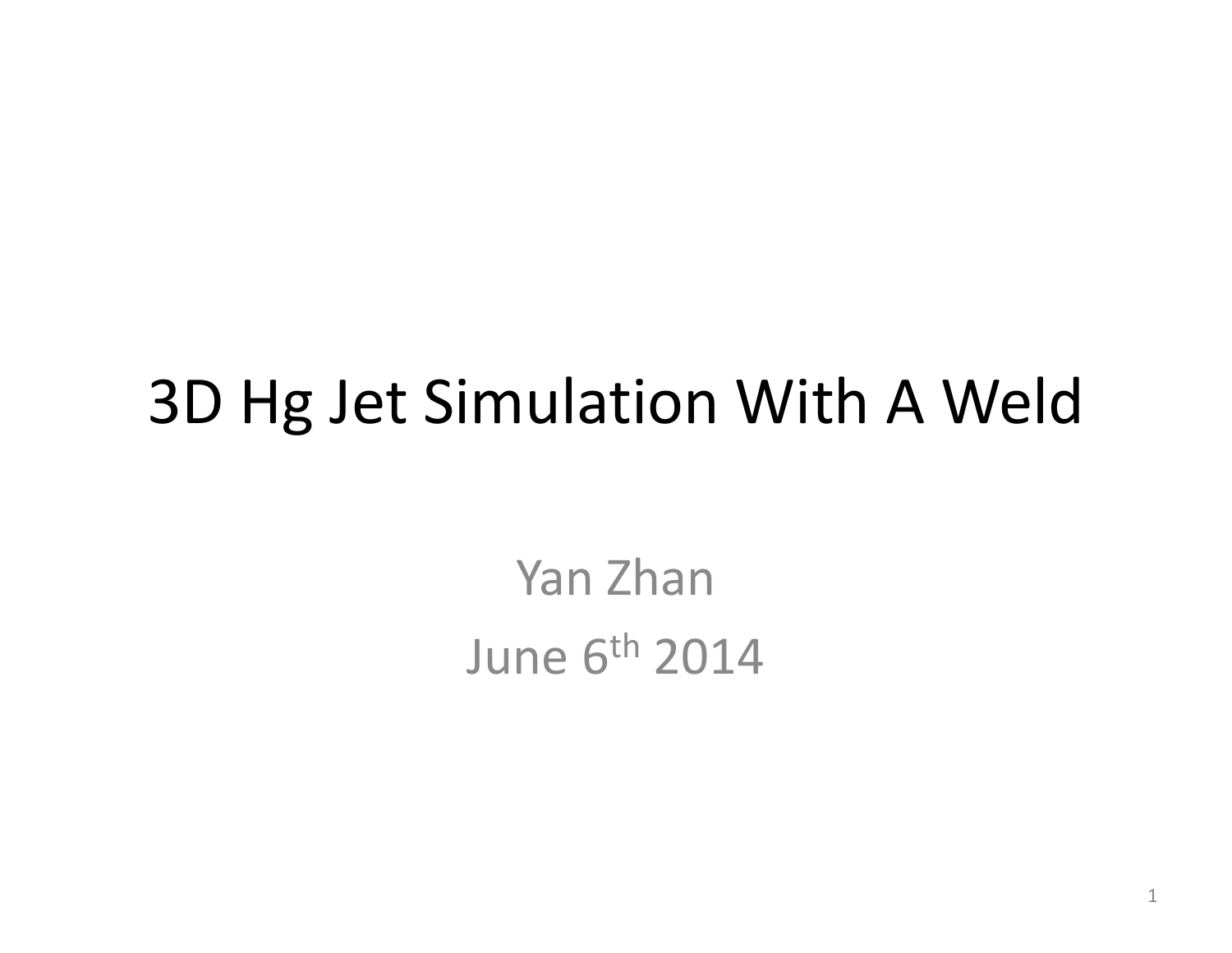## 3D Hg Jet Simulation With A Weld

Yan Zhan June 6<sup>th</sup> 2014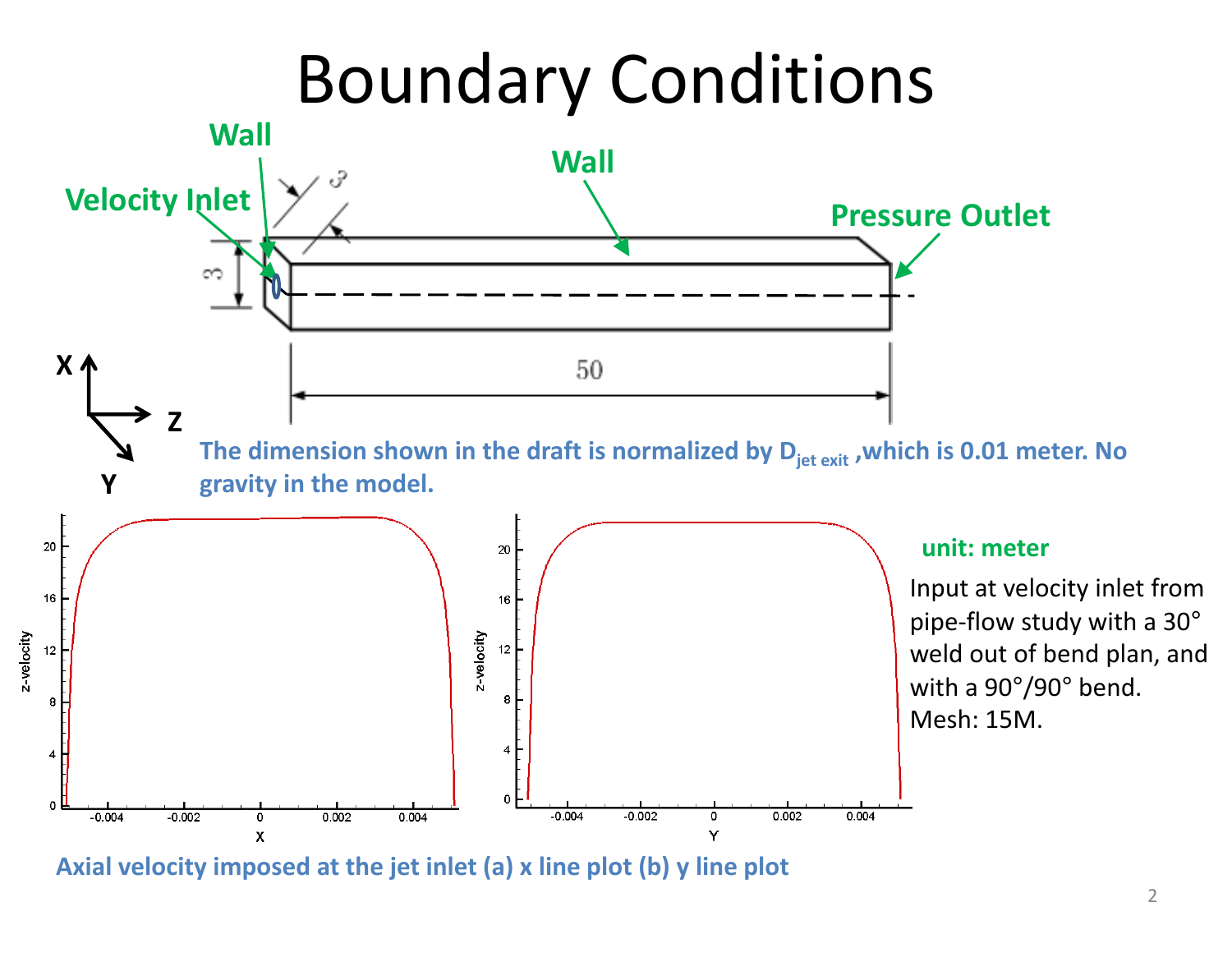# Boundary Conditions



**Axial velocity imposed at the jet inlet (a) <sup>x</sup> line plot (b) y line plot**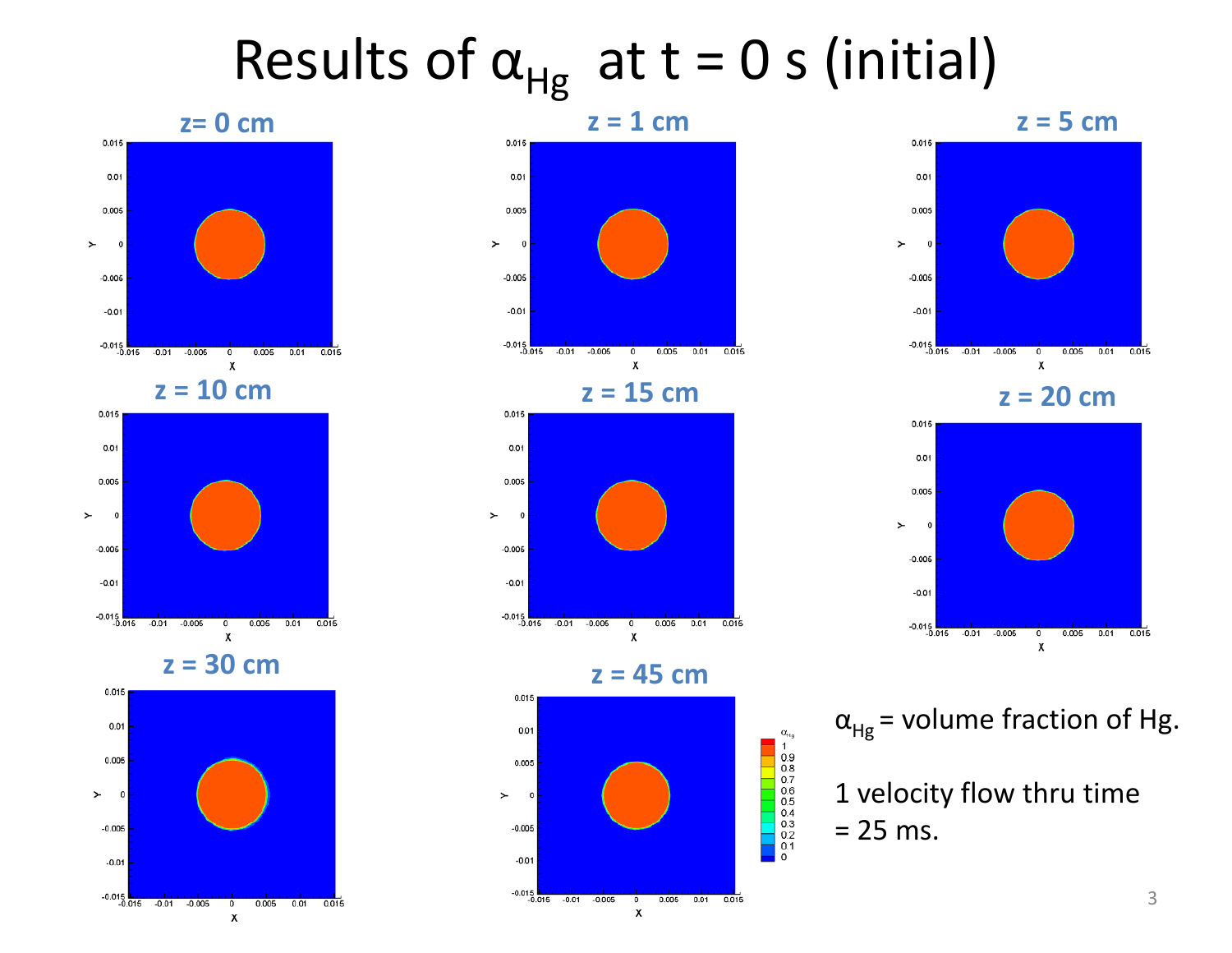# Results of  $\alpha_{\rm Hg}^-$  at t = 0 s (initial)







**z <sup>=</sup> 30 cm**





**<sup>=</sup> 45 cm**



 $\begin{bmatrix} 0_{\text{Hg}} 1 & 0.9 \\ 1 & 0.8 \\ 0.8 & 0.7 \\ 0.6 & 0.5 \\ 0.5 & 0.4 \\ 0.3 & 0.2 \\ 0.1 & 0.1 \end{bmatrix}$ 



**<sup>=</sup> 20 cm**



 $\alpha_{Hg}$  = volume fraction of Hg.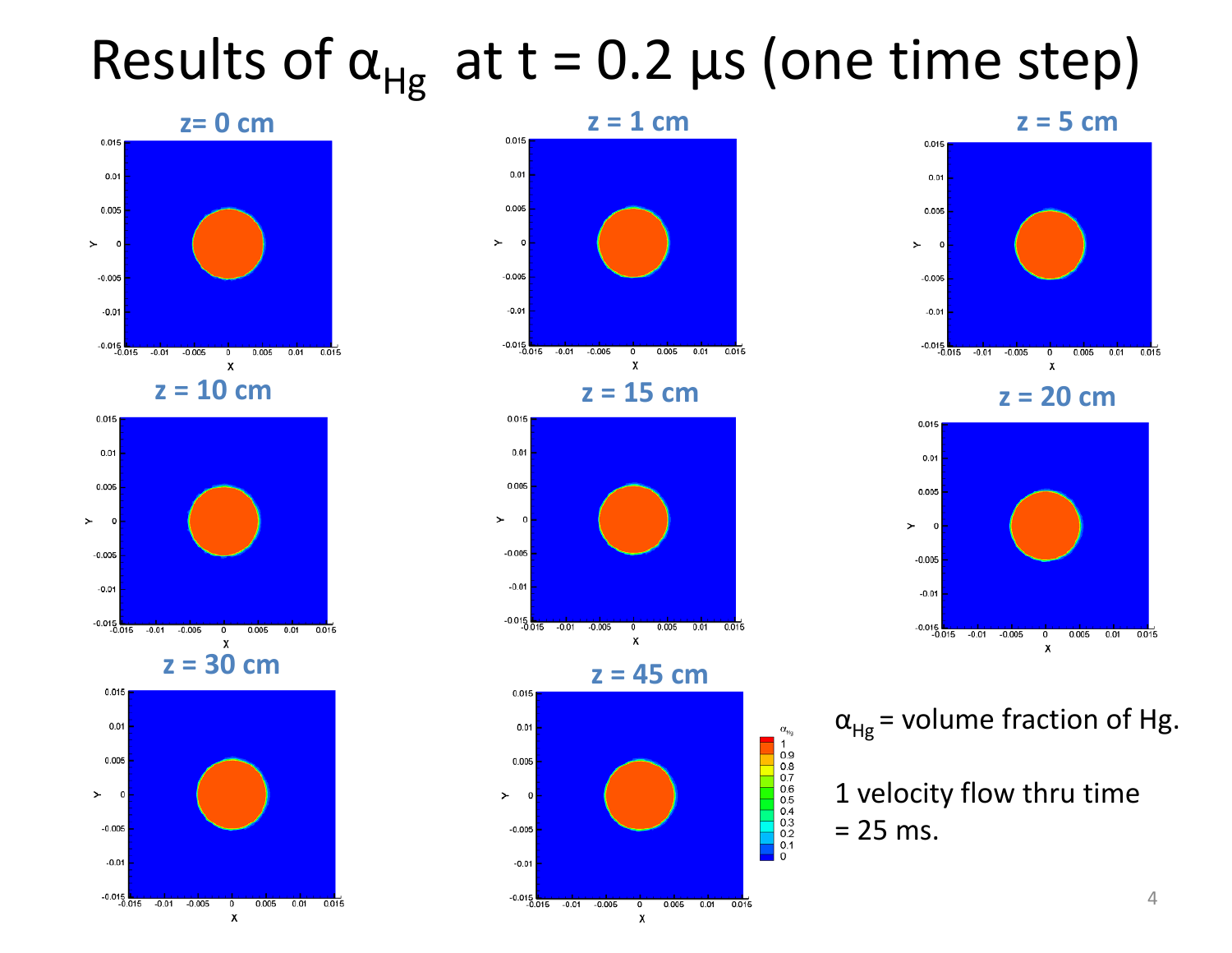# Results of  $\alpha_{\rm Hg}^-$  at t = 0.2 μs (one time step)



**z <sup>=</sup> 10 cm**









**<sup>=</sup> 20 cm**



 $\alpha_{Hg}$  = volume fraction of Hg.

1 velocity flow thru time = 25 ms.

 $\alpha_{H_9}$ <br>  $10.9$ <br>  $0.8$ <br>  $0.7$ <br>  $0.6$ <br>  $0.5$ <br>  $0.4$ <br>  $0.3$ <br>  $0.2$ <br>  $0.1$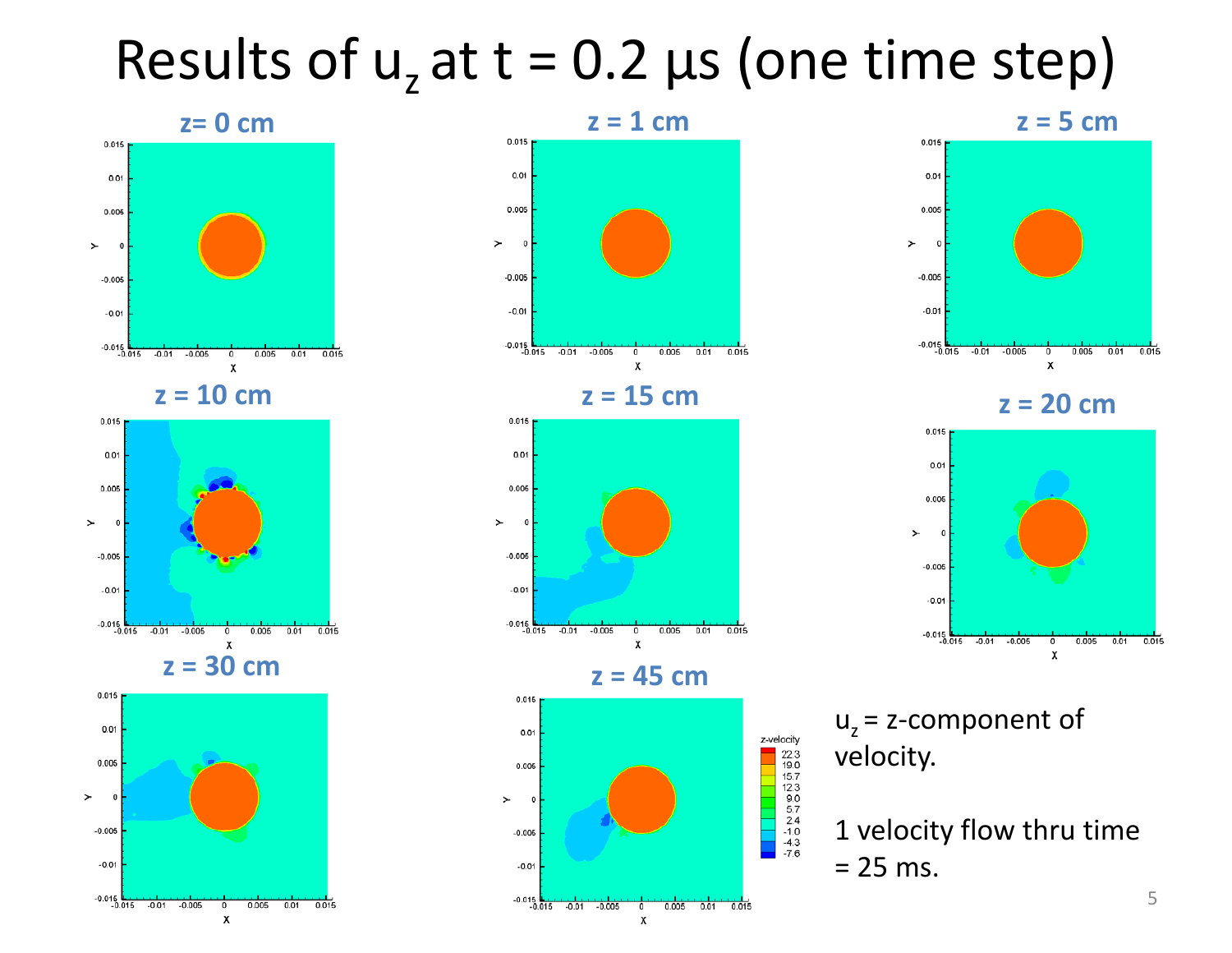### Results of  $u_z$  at t = 0.2  $\mu$ s (one time step)









**<sup>=</sup> 20 cm**



u<sub>z</sub> = z-component of velocity.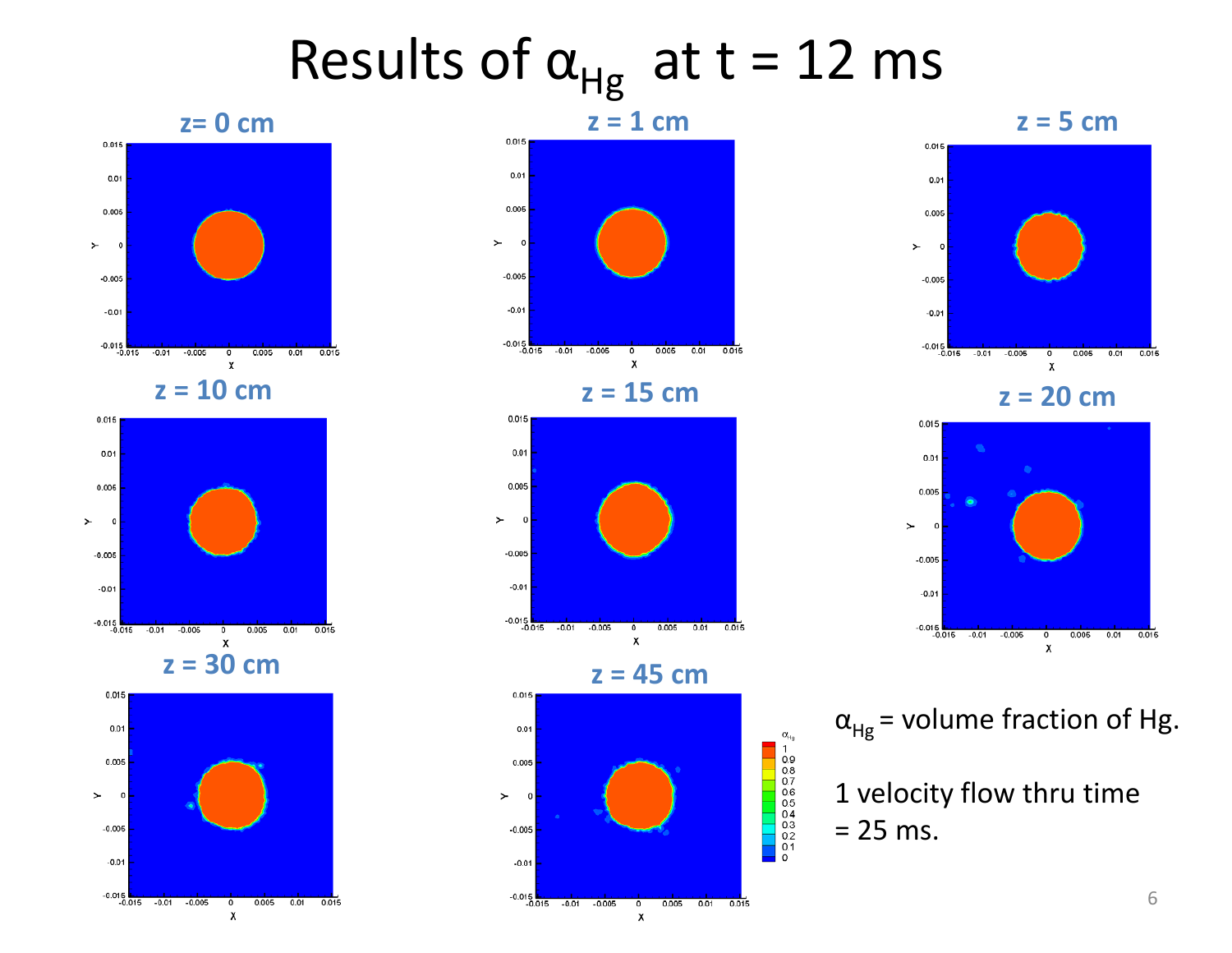# Results of  $\alpha_{\rm Hg}^-$  at t = 12 ms





**z <sup>=</sup> 10 cm**















 $\alpha_{Hg}$  = volume fraction of Hg.